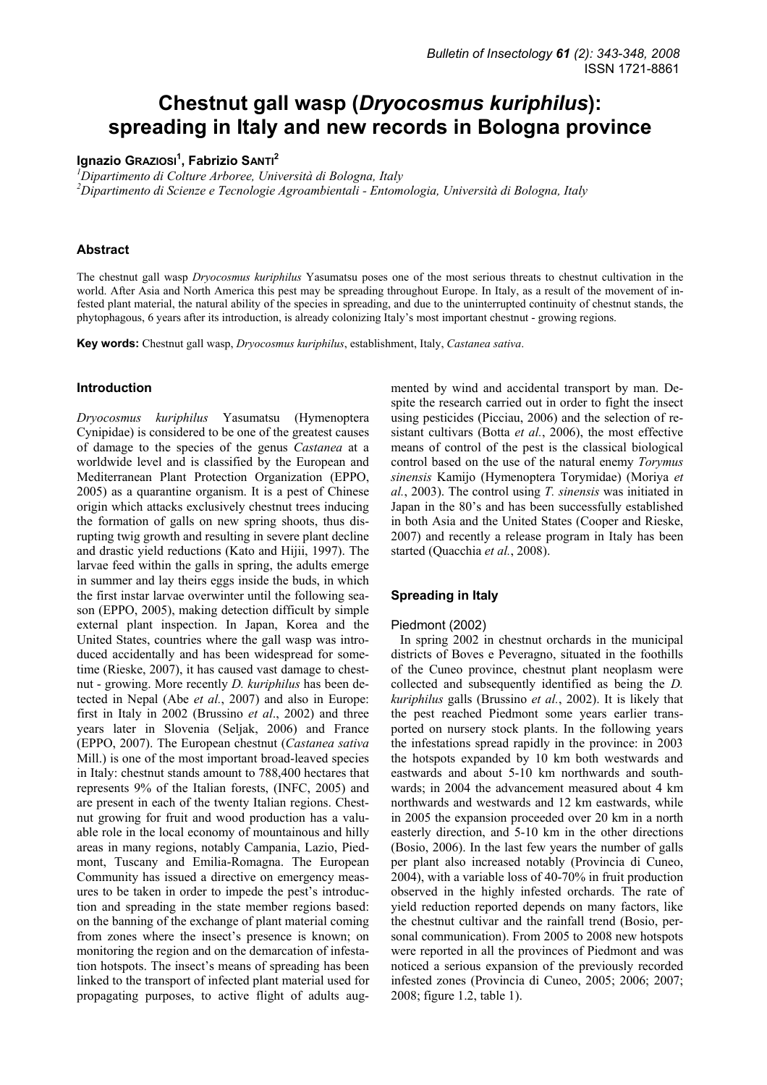# **Chestnut gall wasp (***Dryocosmus kuriphilus***): spreading in Italy and new records in Bologna province**

# **Ignazio GRAZIOSI<sup>1</sup> , Fabrizio SANTI<sup>2</sup>**

*1 Dipartimento di Colture Arboree, Università di Bologna, Italy* 

*2 Dipartimento di Scienze e Tecnologie Agroambientali - Entomologia, Università di Bologna, Italy* 

## **Abstract**

The chestnut gall wasp *Dryocosmus kuriphilus* Yasumatsu poses one of the most serious threats to chestnut cultivation in the world. After Asia and North America this pest may be spreading throughout Europe. In Italy, as a result of the movement of infested plant material, the natural ability of the species in spreading, and due to the uninterrupted continuity of chestnut stands, the phytophagous, 6 years after its introduction, is already colonizing Italy's most important chestnut - growing regions.

**Key words:** Chestnut gall wasp, *Dryocosmus kuriphilus*, establishment, Italy, *Castanea sativa*.

# **Introduction**

*Dryocosmus kuriphilus* Yasumatsu (Hymenoptera Cynipidae) is considered to be one of the greatest causes of damage to the species of the genus *Castanea* at a worldwide level and is classified by the European and Mediterranean Plant Protection Organization (EPPO, 2005) as a quarantine organism. It is a pest of Chinese origin which attacks exclusively chestnut trees inducing the formation of galls on new spring shoots, thus disrupting twig growth and resulting in severe plant decline and drastic yield reductions (Kato and Hijii, 1997). The larvae feed within the galls in spring, the adults emerge in summer and lay theirs eggs inside the buds, in which the first instar larvae overwinter until the following season (EPPO, 2005), making detection difficult by simple external plant inspection. In Japan, Korea and the United States, countries where the gall wasp was introduced accidentally and has been widespread for sometime (Rieske, 2007), it has caused vast damage to chestnut - growing. More recently *D. kuriphilus* has been detected in Nepal (Abe *et al.*, 2007) and also in Europe: first in Italy in 2002 (Brussino *et al*., 2002) and three years later in Slovenia (Seljak, 2006) and France (EPPO, 2007). The European chestnut (*Castanea sativa* Mill.) is one of the most important broad-leaved species in Italy: chestnut stands amount to 788,400 hectares that represents 9% of the Italian forests, (INFC, 2005) and are present in each of the twenty Italian regions. Chestnut growing for fruit and wood production has a valuable role in the local economy of mountainous and hilly areas in many regions, notably Campania, Lazio, Piedmont, Tuscany and Emilia-Romagna. The European Community has issued a directive on emergency measures to be taken in order to impede the pest's introduction and spreading in the state member regions based: on the banning of the exchange of plant material coming from zones where the insect's presence is known; on monitoring the region and on the demarcation of infestation hotspots. The insect's means of spreading has been linked to the transport of infected plant material used for propagating purposes, to active flight of adults augmented by wind and accidental transport by man. Despite the research carried out in order to fight the insect using pesticides (Picciau, 2006) and the selection of resistant cultivars (Botta *et al.*, 2006), the most effective means of control of the pest is the classical biological control based on the use of the natural enemy *Torymus sinensis* Kamijo (Hymenoptera Torymidae) (Moriya *et al.*, 2003). The control using *T. sinensis* was initiated in Japan in the 80's and has been successfully established in both Asia and the United States (Cooper and Rieske, 2007) and recently a release program in Italy has been started (Quacchia *et al.*, 2008).

#### **Spreading in Italy**

#### Piedmont (2002)

In spring 2002 in chestnut orchards in the municipal districts of Boves e Peveragno, situated in the foothills of the Cuneo province, chestnut plant neoplasm were collected and subsequently identified as being the *D. kuriphilus* galls (Brussino *et al.*, 2002). It is likely that the pest reached Piedmont some years earlier transported on nursery stock plants. In the following years the infestations spread rapidly in the province: in 2003 the hotspots expanded by 10 km both westwards and eastwards and about 5-10 km northwards and southwards; in 2004 the advancement measured about 4 km northwards and westwards and 12 km eastwards, while in 2005 the expansion proceeded over 20 km in a north easterly direction, and 5-10 km in the other directions (Bosio, 2006). In the last few years the number of galls per plant also increased notably (Provincia di Cuneo, 2004), with a variable loss of 40-70% in fruit production observed in the highly infested orchards. The rate of yield reduction reported depends on many factors, like the chestnut cultivar and the rainfall trend (Bosio, personal communication). From 2005 to 2008 new hotspots were reported in all the provinces of Piedmont and was noticed a serious expansion of the previously recorded infested zones (Provincia di Cuneo, 2005; 2006; 2007; 2008; figure 1.2, table 1).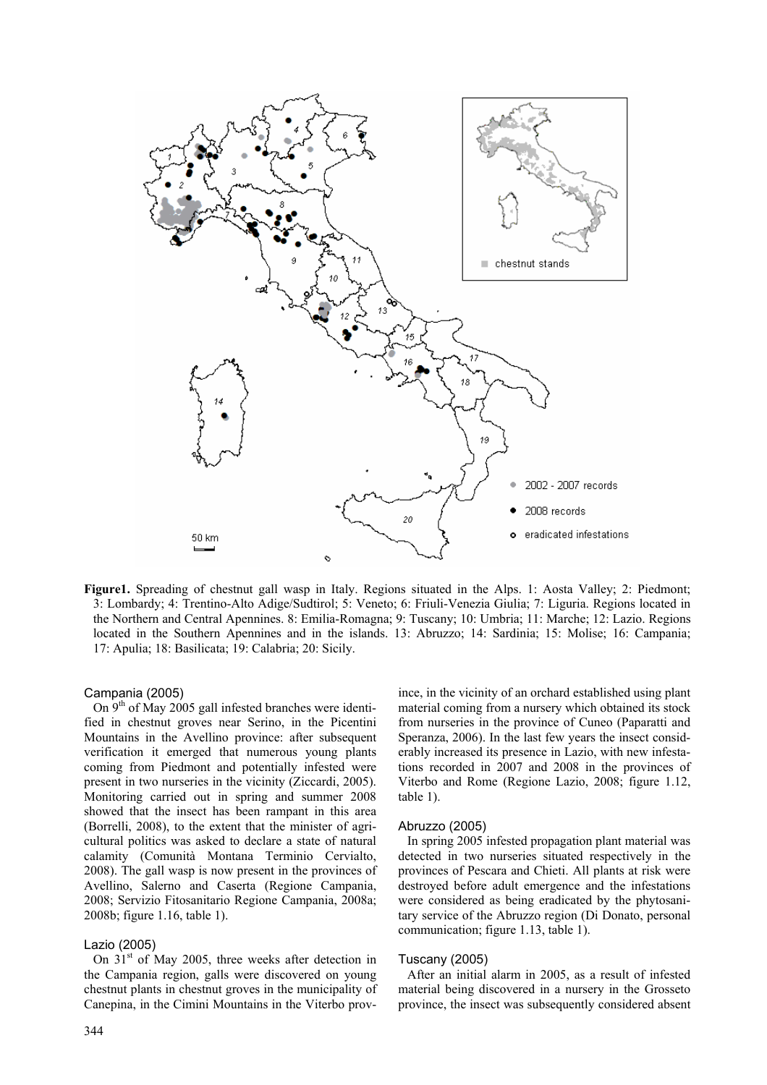

**Figure1.** Spreading of chestnut gall wasp in Italy. Regions situated in the Alps. 1: Aosta Valley; 2: Piedmont; 3: Lombardy; 4: Trentino-Alto Adige/Sudtirol; 5: Veneto; 6: Friuli-Venezia Giulia; 7: Liguria. Regions located in the Northern and Central Apennines. 8: Emilia-Romagna; 9: Tuscany; 10: Umbria; 11: Marche; 12: Lazio. Regions located in the Southern Apennines and in the islands. 13: Abruzzo; 14: Sardinia; 15: Molise; 16: Campania; 17: Apulia; 18: Basilicata; 19: Calabria; 20: Sicily.

## Campania (2005)

On  $9<sup>th</sup>$  of May 2005 gall infested branches were identified in chestnut groves near Serino, in the Picentini Mountains in the Avellino province: after subsequent verification it emerged that numerous young plants coming from Piedmont and potentially infested were present in two nurseries in the vicinity (Ziccardi, 2005). Monitoring carried out in spring and summer 2008 showed that the insect has been rampant in this area (Borrelli, 2008), to the extent that the minister of agricultural politics was asked to declare a state of natural calamity (Comunità Montana Terminio Cervialto, 2008). The gall wasp is now present in the provinces of Avellino, Salerno and Caserta (Regione Campania, 2008; Servizio Fitosanitario Regione Campania, 2008a; 2008b; figure 1.16, table 1).

# Lazio (2005)

On  $31<sup>st</sup>$  of May 2005, three weeks after detection in the Campania region, galls were discovered on young chestnut plants in chestnut groves in the municipality of Canepina, in the Cimini Mountains in the Viterbo prov-

344

ince, in the vicinity of an orchard established using plant material coming from a nursery which obtained its stock from nurseries in the province of Cuneo (Paparatti and Speranza, 2006). In the last few years the insect considerably increased its presence in Lazio, with new infestations recorded in 2007 and 2008 in the provinces of Viterbo and Rome (Regione Lazio, 2008; figure 1.12, table 1).

#### Abruzzo (2005)

In spring 2005 infested propagation plant material was detected in two nurseries situated respectively in the provinces of Pescara and Chieti. All plants at risk were destroyed before adult emergence and the infestations were considered as being eradicated by the phytosanitary service of the Abruzzo region (Di Donato, personal communication; figure 1.13, table 1).

#### Tuscany (2005)

After an initial alarm in 2005, as a result of infested material being discovered in a nursery in the Grosseto province, the insect was subsequently considered absent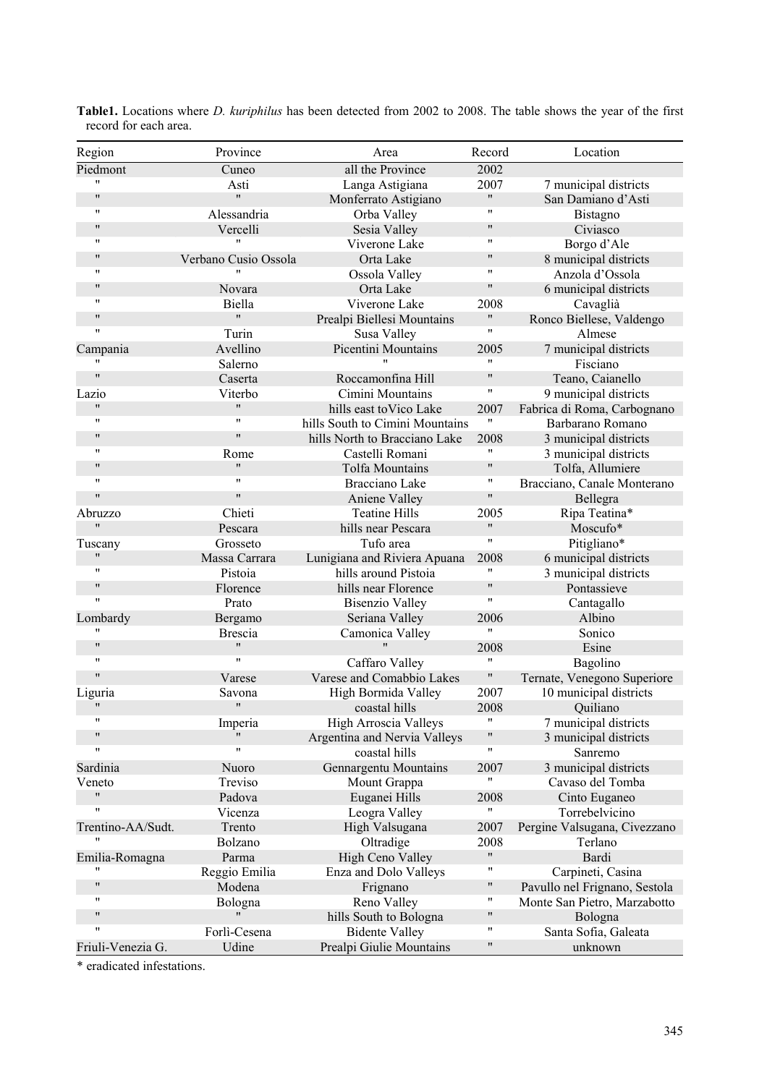| Region             | Province             | Area                            | Record               | Location                      |
|--------------------|----------------------|---------------------------------|----------------------|-------------------------------|
| Piedmont           | Cuneo                | all the Province                | 2002                 |                               |
|                    | Asti                 | Langa Astigiana                 | 2007                 | 7 municipal districts         |
| $\pmb{\mathsf{H}}$ | $^{\prime\prime}$    | Monferrato Astigiano            | $^{\prime\prime}$    | San Damiano d'Asti            |
| 11                 | Alessandria          | Orba Valley                     | 11                   | Bistagno                      |
| $^{\prime\prime}$  | Vercelli             | Sesia Valley                    | 11                   | Civiasco                      |
| 11                 | $\blacksquare$       | Viverone Lake                   | $\pmb{\mathsf{H}}$   | Borgo d'Ale                   |
| $^{\prime\prime}$  | Verbano Cusio Ossola | Orta Lake                       | $\pmb{\mathsf{H}}$   | 8 municipal districts         |
| $\mathbf{H}$       |                      | Ossola Valley                   | 11                   | Anzola d'Ossola               |
| $^{\prime\prime}$  | Novara               | Orta Lake                       | 11                   | 6 municipal districts         |
| 11                 | Biella               | Viverone Lake                   | 2008                 | Cavaglià                      |
| $\pmb{\mathsf{H}}$ | $\pmb{\mathsf{H}}$   | Prealpi Biellesi Mountains      | $\mathbf{H}$         | Ronco Biellese, Valdengo      |
| $\mathbf{H}$       | Turin                | Susa Valley                     | 11                   | Almese                        |
| Campania           | Avellino             | Picentini Mountains             | 2005                 | 7 municipal districts         |
| $\mathbf{H}$       | Salerno              |                                 | 11                   | Fisciano                      |
| $\pmb{\mathsf{H}}$ | Caserta              | Roccamonfina Hill               | 11                   | Teano, Caianello              |
| Lazio              | Viterbo              | Cimini Mountains                | $\pmb{\mathsf{H}}$   | 9 municipal districts         |
| "                  | $\pmb{\mathsf{H}}$   | hills east to Vico Lake         | 2007                 | Fabrica di Roma, Carbognano   |
| 11                 | $\mathbf{H}$         | hills South to Cimini Mountains | 11                   | Barbarano Romano              |
| $\pmb{\mathsf{H}}$ | $\pmb{\mathsf{H}}$   | hills North to Bracciano Lake   | 2008                 | 3 municipal districts         |
| 11                 | Rome                 | Castelli Romani                 | 11                   | 3 municipal districts         |
| $^{\prime\prime}$  | $\pmb{\mathsf{H}}$   | <b>Tolfa Mountains</b>          | $\pmb{\mathsf{H}}$   | Tolfa, Allumiere              |
| 11                 | $\mathbf{H}$         | Bracciano Lake                  | 11                   | Bracciano, Canale Monterano   |
| $\pmb{\mathsf{H}}$ | $\mathbf{H}$         | Aniene Valley                   | $\blacksquare$       | Bellegra                      |
| Abruzzo            | Chieti               | <b>Teatine Hills</b>            | 2005                 | Ripa Teatina*                 |
| "                  | Pescara              | hills near Pescara              | 11                   | Moscufo*                      |
| Tuscany            | Grosseto             | Tufo area                       | 11                   | Pitigliano*                   |
| $\pmb{\mathsf{H}}$ | Massa Carrara        | Lunigiana and Riviera Apuana    | 2008                 | 6 municipal districts         |
| 11                 | Pistoia              | hills around Pistoia            | 11                   | 3 municipal districts         |
| $^{\prime\prime}$  | Florence             | hills near Florence             | $\pmb{\mathsf{H}}$   | Pontassieve                   |
| 11                 | Prato                | <b>Bisenzio Valley</b>          | $\pmb{\mathsf{H}}$   | Cantagallo                    |
| Lombardy           | Bergamo              | Seriana Valley                  | 2006                 | Albino                        |
|                    | <b>Brescia</b>       | Camonica Valley                 | 11                   | Sonico                        |
| $\pmb{\mathsf{H}}$ | $^{\prime\prime}$    | $^{\prime\prime}$               | 2008                 | Esine                         |
| $\mathbf{H}$       | $\pmb{\mathsf{H}}$   | Caffaro Valley                  | 11                   | Bagolino                      |
| $\pmb{\mathsf{H}}$ | Varese               | Varese and Comabbio Lakes       | "                    | Ternate, Venegono Superiore   |
| Liguria            | Savona               | High Bormida Valley             | 2007                 | 10 municipal districts        |
| $^{\prime\prime}$  | $\pmb{\mathsf{H}}$   | coastal hills                   | 2008                 | Quiliano                      |
| 11                 | Imperia              | High Arroscia Valleys           | $\pmb{\mathsf{H}}$   | 7 municipal districts         |
| $\pmb{\mathsf{H}}$ |                      | Argentina and Nervia Valleys    | 11                   | 3 municipal districts         |
| 11                 | $\pmb{\mathsf{H}}$   | coastal hills                   | 11                   | Sanremo                       |
| Sardinia           | Nuoro                | Gennargentu Mountains           | 2007                 | 3 municipal districts         |
| Veneto             | Treviso              | Mount Grappa                    | "                    | Cavaso del Tomba              |
| $\pmb{\mathsf{H}}$ | Padova               | Euganei Hills                   | 2008                 | Cinto Euganeo                 |
| 11                 | Vicenza              | Leogra Valley                   | $\pmb{\mathfrak{m}}$ | Torrebelvicino                |
| Trentino-AA/Sudt.  | Trento               | High Valsugana                  | 2007                 | Pergine Valsugana, Civezzano  |
|                    | Bolzano              | Oltradige                       | 2008                 | Terlano                       |
| Emilia-Romagna     | Parma                | High Ceno Valley                | $\mathbf{H}$         | Bardi                         |
|                    | Reggio Emilia        | Enza and Dolo Valleys           | 11                   | Carpineti, Casina             |
| $\pmb{\mathsf{H}}$ | Modena               | Frignano                        | $\pmb{\mathsf{H}}$   | Pavullo nel Frignano, Sestola |
| 11                 | Bologna              | Reno Valley                     | "                    | Monte San Pietro, Marzabotto  |
| "                  | $\pmb{\mathsf{H}}$   | hills South to Bologna          | $\pmb{\mathsf{H}}$   | Bologna                       |
| 11                 | Forlì-Cesena         | <b>Bidente Valley</b>           | $\pmb{\mathsf{H}}$   | Santa Sofia, Galeata          |
| Friuli-Venezia G.  | Udine                | Prealpi Giulie Mountains        | 11                   | unknown                       |

**Table1.** Locations where *D. kuriphilus* has been detected from 2002 to 2008. The table shows the year of the first record for each area.

\* eradicated infestations.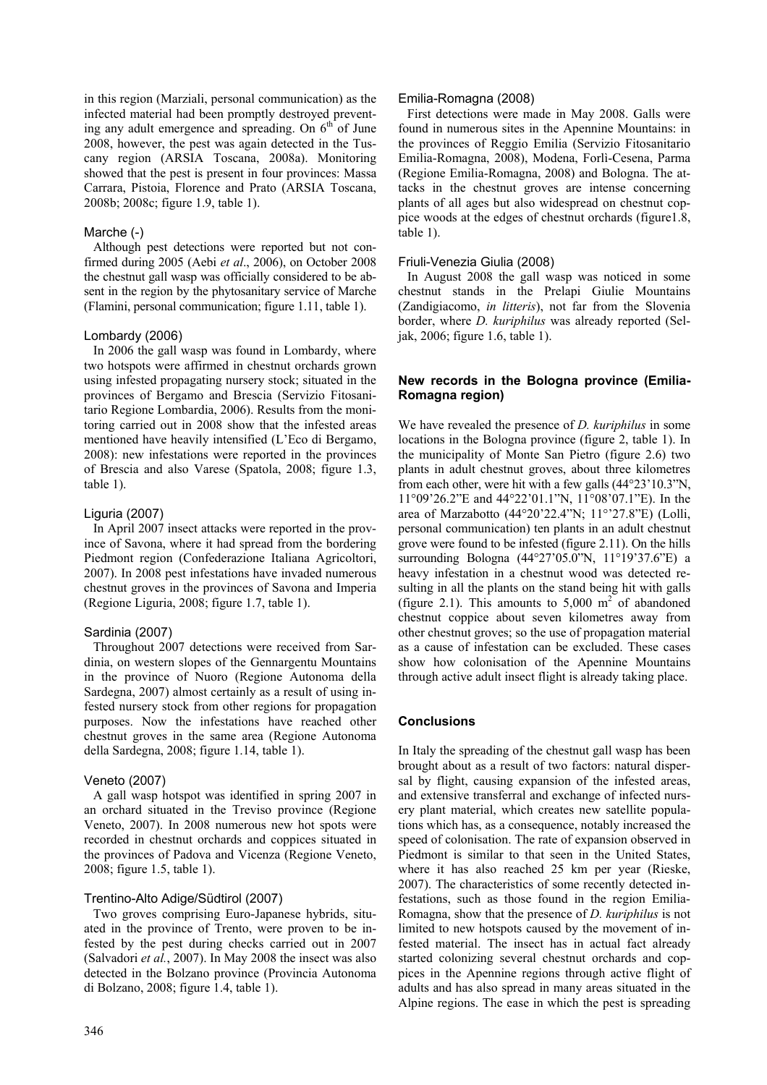in this region (Marziali, personal communication) as the infected material had been promptly destroyed preventing any adult emergence and spreading. On  $6<sup>th</sup>$  of June 2008, however, the pest was again detected in the Tuscany region (ARSIA Toscana, 2008a). Monitoring showed that the pest is present in four provinces: Massa Carrara, Pistoia, Florence and Prato (ARSIA Toscana, 2008b; 2008c; figure 1.9, table 1).

## Marche (-)

Although pest detections were reported but not confirmed during 2005 (Aebi *et al*., 2006), on October 2008 the chestnut gall wasp was officially considered to be absent in the region by the phytosanitary service of Marche (Flamini, personal communication; figure 1.11, table 1).

## Lombardy (2006)

In 2006 the gall wasp was found in Lombardy, where two hotspots were affirmed in chestnut orchards grown using infested propagating nursery stock; situated in the provinces of Bergamo and Brescia (Servizio Fitosanitario Regione Lombardia, 2006). Results from the monitoring carried out in 2008 show that the infested areas mentioned have heavily intensified (L'Eco di Bergamo, 2008): new infestations were reported in the provinces of Brescia and also Varese (Spatola, 2008; figure 1.3, table 1).

# Liguria (2007)

In April 2007 insect attacks were reported in the province of Savona, where it had spread from the bordering Piedmont region (Confederazione Italiana Agricoltori, 2007). In 2008 pest infestations have invaded numerous chestnut groves in the provinces of Savona and Imperia (Regione Liguria, 2008; figure 1.7, table 1).

# Sardinia (2007)

Throughout 2007 detections were received from Sardinia, on western slopes of the Gennargentu Mountains in the province of Nuoro (Regione Autonoma della Sardegna, 2007) almost certainly as a result of using infested nursery stock from other regions for propagation purposes. Now the infestations have reached other chestnut groves in the same area (Regione Autonoma della Sardegna, 2008; figure 1.14, table 1).

# Veneto (2007)

A gall wasp hotspot was identified in spring 2007 in an orchard situated in the Treviso province (Regione Veneto, 2007). In 2008 numerous new hot spots were recorded in chestnut orchards and coppices situated in the provinces of Padova and Vicenza (Regione Veneto, 2008; figure 1.5, table 1).

# Trentino-Alto Adige/Südtirol (2007)

Two groves comprising Euro-Japanese hybrids, situated in the province of Trento, were proven to be infested by the pest during checks carried out in 2007 (Salvadori *et al.*, 2007). In May 2008 the insect was also detected in the Bolzano province (Provincia Autonoma di Bolzano, 2008; figure 1.4, table 1).

First detections were made in May 2008. Galls were found in numerous sites in the Apennine Mountains: in the provinces of Reggio Emilia (Servizio Fitosanitario Emilia-Romagna, 2008), Modena, Forlì-Cesena, Parma (Regione Emilia-Romagna, 2008) and Bologna. The attacks in the chestnut groves are intense concerning plants of all ages but also widespread on chestnut coppice woods at the edges of chestnut orchards (figure1.8, table 1).

## Friuli-Venezia Giulia (2008)

In August 2008 the gall wasp was noticed in some chestnut stands in the Prelapi Giulie Mountains (Zandigiacomo, *in litteris*), not far from the Slovenia border, where *D. kuriphilus* was already reported (Seljak, 2006; figure 1.6, table 1).

# **New records in the Bologna province (Emilia-Romagna region)**

We have revealed the presence of *D. kuriphilus* in some locations in the Bologna province (figure 2, table 1). In the municipality of Monte San Pietro (figure 2.6) two plants in adult chestnut groves, about three kilometres from each other, were hit with a few galls (44°23'10.3"N, 11°09'26.2"E and 44°22'01.1"N, 11°08'07.1"E). In the area of Marzabotto (44°20'22.4"N; 11°'27.8"E) (Lolli, personal communication) ten plants in an adult chestnut grove were found to be infested (figure 2.11). On the hills surrounding Bologna (44°27'05.0"N, 11°19'37.6"E) a heavy infestation in a chestnut wood was detected resulting in all the plants on the stand being hit with galls (figure 2.1). This amounts to  $5,000 \text{ m}^2$  of abandoned chestnut coppice about seven kilometres away from other chestnut groves; so the use of propagation material as a cause of infestation can be excluded. These cases show how colonisation of the Apennine Mountains through active adult insect flight is already taking place.

# **Conclusions**

In Italy the spreading of the chestnut gall wasp has been brought about as a result of two factors: natural dispersal by flight, causing expansion of the infested areas, and extensive transferral and exchange of infected nursery plant material, which creates new satellite populations which has, as a consequence, notably increased the speed of colonisation. The rate of expansion observed in Piedmont is similar to that seen in the United States, where it has also reached 25 km per year (Rieske, 2007). The characteristics of some recently detected infestations, such as those found in the region Emilia-Romagna, show that the presence of *D. kuriphilus* is not limited to new hotspots caused by the movement of infested material. The insect has in actual fact already started colonizing several chestnut orchards and coppices in the Apennine regions through active flight of adults and has also spread in many areas situated in the Alpine regions. The ease in which the pest is spreading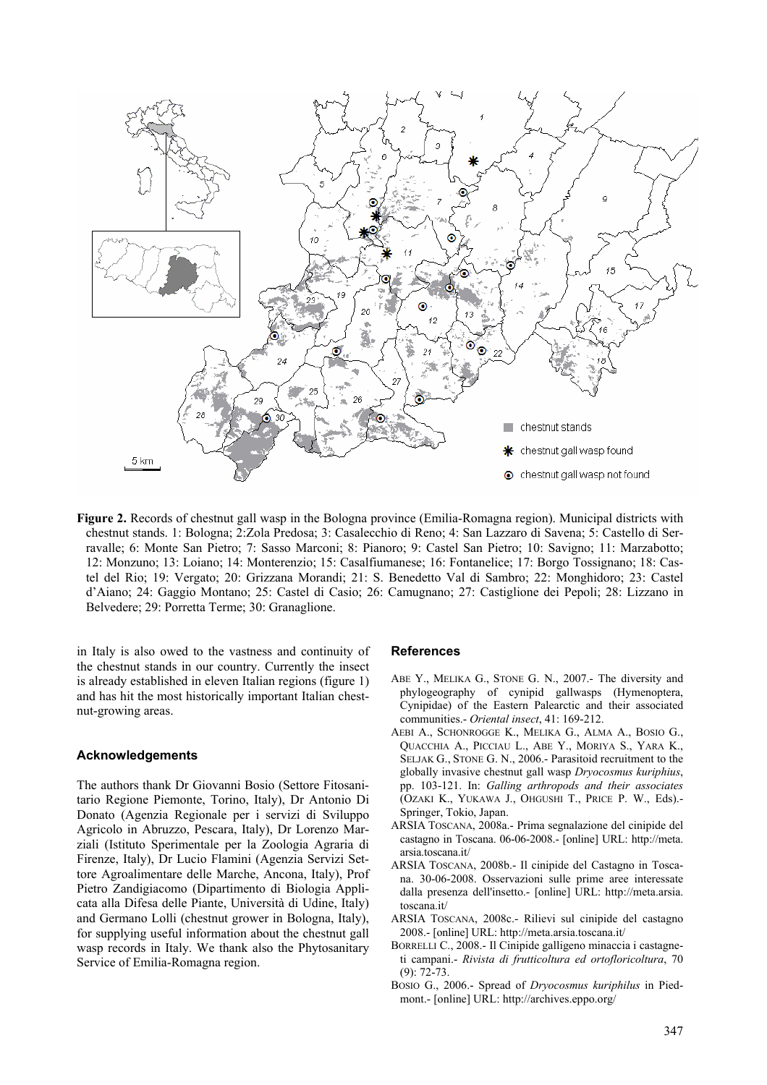

**Figure 2.** Records of chestnut gall wasp in the Bologna province (Emilia-Romagna region). Municipal districts with chestnut stands. 1: Bologna; 2:Zola Predosa; 3: Casalecchio di Reno; 4: San Lazzaro di Savena; 5: Castello di Serravalle; 6: Monte San Pietro; 7: Sasso Marconi; 8: Pianoro; 9: Castel San Pietro; 10: Savigno; 11: Marzabotto; 12: Monzuno; 13: Loiano; 14: Monterenzio; 15: Casalfiumanese; 16: Fontanelice; 17: Borgo Tossignano; 18: Castel del Rio; 19: Vergato; 20: Grizzana Morandi; 21: S. Benedetto Val di Sambro; 22: Monghidoro; 23: Castel d'Aiano; 24: Gaggio Montano; 25: Castel di Casio; 26: Camugnano; 27: Castiglione dei Pepoli; 28: Lizzano in Belvedere; 29: Porretta Terme; 30: Granaglione.

in Italy is also owed to the vastness and continuity of the chestnut stands in our country. Currently the insect is already established in eleven Italian regions (figure 1) and has hit the most historically important Italian chestnut-growing areas.

#### **Acknowledgements**

The authors thank Dr Giovanni Bosio (Settore Fitosanitario Regione Piemonte, Torino, Italy), Dr Antonio Di Donato (Agenzia Regionale per i servizi di Sviluppo Agricolo in Abruzzo, Pescara, Italy), Dr Lorenzo Marziali (Istituto Sperimentale per la Zoologia Agraria di Firenze, Italy), Dr Lucio Flamini (Agenzia Servizi Settore Agroalimentare delle Marche, Ancona, Italy), Prof Pietro Zandigiacomo (Dipartimento di Biologia Applicata alla Difesa delle Piante, Università di Udine, Italy) and Germano Lolli (chestnut grower in Bologna, Italy), for supplying useful information about the chestnut gall wasp records in Italy. We thank also the Phytosanitary Service of Emilia-Romagna region.

#### **References**

- ABE Y., MELIKA G., STONE G. N., 2007.- The diversity and phylogeography of cynipid gallwasps (Hymenoptera, Cynipidae) of the Eastern Palearctic and their associated communities.- *Oriental insect*, 41: 169-212.
- AEBI A., SCHONROGGE K., MELIKA G., ALMA A., BOSIO G., QUACCHIA A., PICCIAU L., ABE Y., MORIYA S., YARA K., SELJAK G., STONE G. N., 2006.- Parasitoid recruitment to the globally invasive chestnut gall wasp *Dryocosmus kuriphius*, pp. 103-121. In: *Galling arthropods and their associates*  (OZAKI K., YUKAWA J., OHGUSHI T., PRICE P. W., Eds).- Springer, Tokio, Japan.
- ARSIA TOSCANA, 2008a.- Prima segnalazione del cinipide del castagno in Toscana. 06-06-2008.- [online] URL: http://meta. arsia.toscana.it/
- ARSIA TOSCANA, 2008b.- Il cinipide del Castagno in Toscana. 30-06-2008. Osservazioni sulle prime aree interessate dalla presenza dell'insetto.- [online] URL: http://meta.arsia. toscana.it/
- ARSIA TOSCANA, 2008c.- Rilievi sul cinipide del castagno 2008.- [online] URL: http://meta.arsia.toscana.it/
- BORRELLI C., 2008.- Il Cinipide galligeno minaccia i castagneti campani.- *Rivista di frutticoltura ed ortofloricoltura*, 70  $(9)$ : 72-73.
- BOSIO G., 2006.- Spread of *Dryocosmus kuriphilus* in Piedmont.- [online] URL: http://archives.eppo.org/